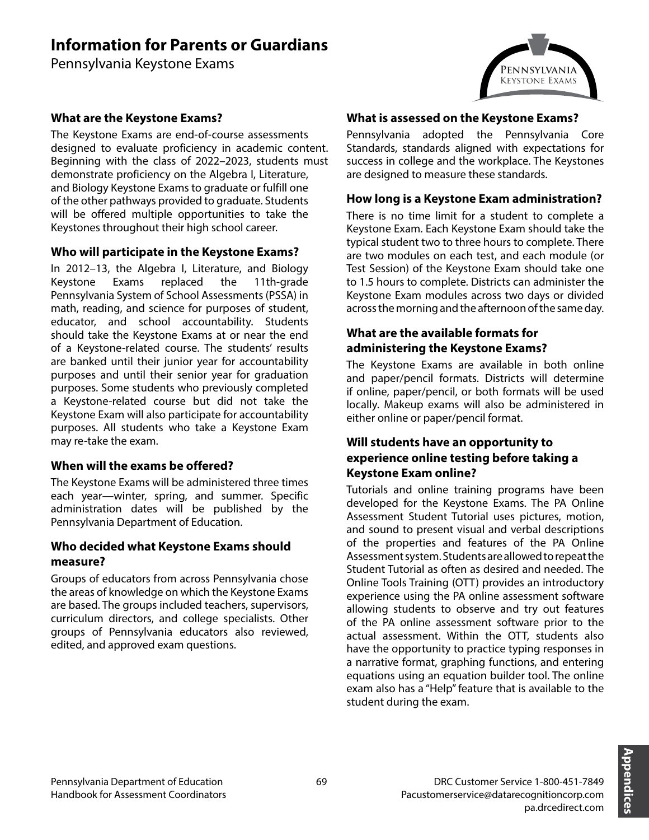# **Information for Parents or Guardians**

Pennsylvania Keystone Exams



# **What are the Keystone Exams?**

The Keystone Exams are end-of-course assessments designed to evaluate proficiency in academic content. Beginning with the class of 2022–2023, students must demonstrate proficiency on the Algebra I, Literature, and Biology Keystone Exams to graduate or fulfill one of the other pathways provided to graduate. Students will be offered multiple opportunities to take the Keystones throughout their high school career.

# **Who will participate in the Keystone Exams?**

In 2012–13, the Algebra I, Literature, and Biology Keystone Exams replaced the 11th-grade Pennsylvania System of School Assessments (PSSA) in math, reading, and science for purposes of student, educator, and school accountability. Students should take the Keystone Exams at or near the end of a Keystone-related course. The students' results are banked until their junior year for accountability purposes and until their senior year for graduation purposes. Some students who previously completed a Keystone-related course but did not take the Keystone Exam will also participate for accountability purposes. All students who take a Keystone Exam may re-take the exam.

# **When will the exams be offered?**

The Keystone Exams will be administered three times each year—winter, spring, and summer. Specific administration dates will be published by the Pennsylvania Department of Education.

# **Who decided what Keystone Exams should measure?**

Groups of educators from across Pennsylvania chose the areas of knowledge on which the Keystone Exams are based. The groups included teachers, supervisors, curriculum directors, and college specialists. Other groups of Pennsylvania educators also reviewed, edited, and approved exam questions.

#### **What is assessed on the Keystone Exams?**

Pennsylvania adopted the Pennsylvania Core Standards, standards aligned with expectations for success in college and the workplace. The Keystones are designed to measure these standards.

#### **How long is a Keystone Exam administration?**

There is no time limit for a student to complete a Keystone Exam. Each Keystone Exam should take the typical student two to three hours to complete. There are two modules on each test, and each module (or Test Session) of the Keystone Exam should take one to 1.5 hours to complete. Districts can administer the Keystone Exam modules across two days or divided across the morning and the afternoon of the same day.

# **What are the available formats for administering the Keystone Exams?**

The Keystone Exams are available in both online and paper/pencil formats. Districts will determine if online, paper/pencil, or both formats will be used locally. Makeup exams will also be administered in either online or paper/pencil format.

#### **Will students have an opportunity to experience online testing before taking a Keystone Exam online?**

Tutorials and online training programs have been developed for the Keystone Exams. The PA Online Assessment Student Tutorial uses pictures, motion, and sound to present visual and verbal descriptions of the properties and features of the PA Online Assessment system. Students are allowed to repeat the Student Tutorial as often as desired and needed. The Online Tools Training (OTT) provides an introductory experience using the PA online assessment software allowing students to observe and try out features of the PA online assessment software prior to the actual assessment. Within the OTT, students also have the opportunity to practice typing responses in a narrative format, graphing functions, and entering equations using an equation builder tool. The online exam also has a "Help" feature that is available to the student during the exam.

> DRC Customer Service 1-800-451-7849 Pacustomerservice@datarecognitioncorp.com

> > pa.drcedirect.com